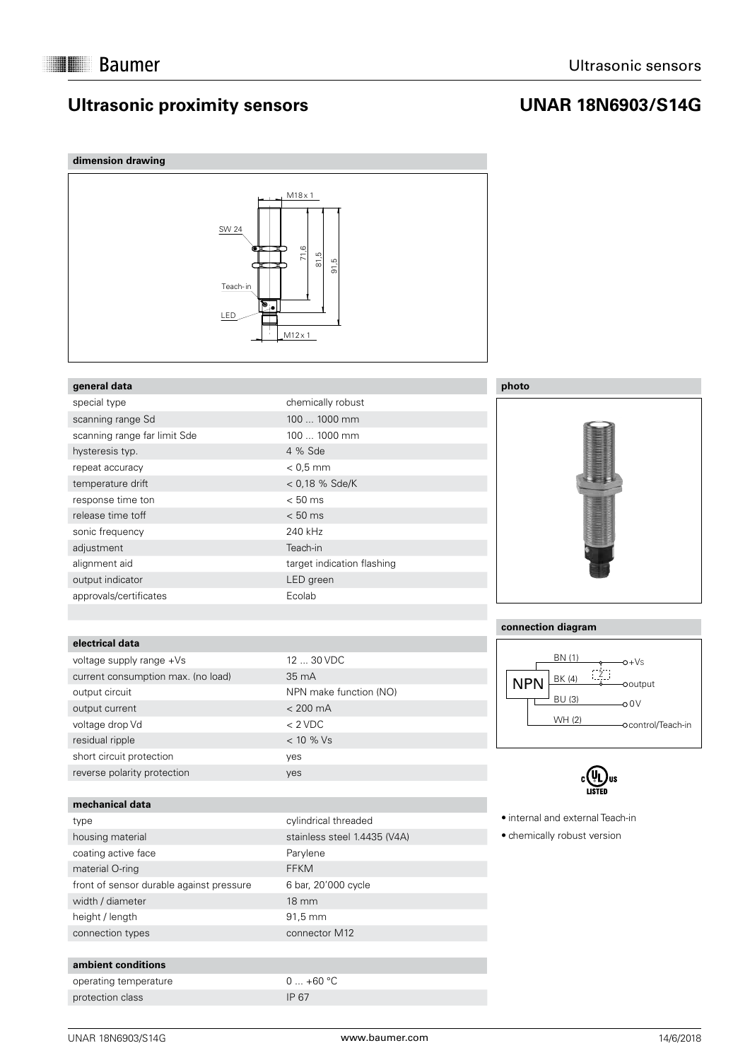# **Ultrasonic proximity sensors**

# **UNAR 18N6903/S14G**

## **dimension drawing**



### **general data**

| special type                 | chemically robust          |
|------------------------------|----------------------------|
| scanning range Sd            | 100  1000 mm               |
| scanning range far limit Sde | 100  1000 mm               |
| hysteresis typ.              | 4 % Sde                    |
| repeat accuracy              | $< 0.5$ mm                 |
| temperature drift            | $< 0.18$ % Sde/K           |
| response time ton            | $< 50$ ms                  |
| release time toff            | $< 50$ ms                  |
| sonic frequency              | 240 kHz                    |
| adjustment                   | Teach-in                   |
| alignment aid                | target indication flashing |
| output indicator             | LED green                  |
| approvals/certificates       | Ecolab                     |

## **electrical data**

| voltage supply range +Vs           | 12 <sub>1</sub> |
|------------------------------------|-----------------|
| current consumption max. (no load) | 35              |
| output circuit                     | <b>NP</b>       |
| output current                     | $\lt 2$         |
| voltage drop Vd                    | $<$ 2           |
| residual ripple                    | $<$ 1           |
| short circuit protection           | yes             |
| reverse polarity protection        | yes             |

#### **mechanical data**

| type                                     |
|------------------------------------------|
| housing material                         |
| coating active face                      |
| material O-ring                          |
| front of sensor durable against pressure |
| width / diameter                         |
| height / length                          |
| connection types                         |

#### **ambient conditions**

| operating temperature | $0$ - |
|-----------------------|-------|
| protection class      | IP 67 |

# 12 ... 30 VDC  $35 \text{ mA}$ NPN make function (NO)  $< 200 \text{ mA}$  $< 2$  VDC  $< 10 %$  Vs

cylindrical threaded stainless steel 1.4435 (V4A) Parylene FFKM 6 bar, 20'000 cycle 18 mm 91,5 mm connector M12

 $0... +60$  °C



### **connection diagram**





 internal and external Teach-in

 chemically robust version